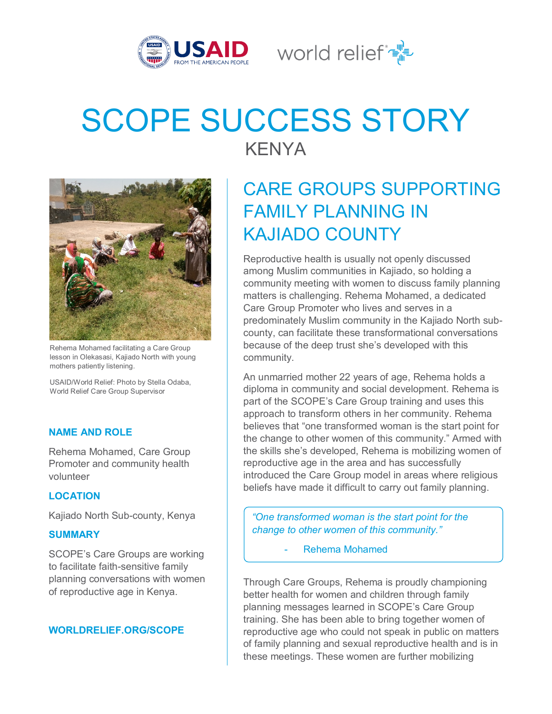

World relief  $\mathbb{R}^{\mathbb{N}}$ 

# SCOPE SUCCESS STORY KENYA



Rehema Mohamed facilitating a Care Group lesson in Olekasasi, Kajiado North with young mothers patiently listening.

USAID/World Relief: Photo by Stella Odaba, World Relief Care Group Supervisor

## **NAME AND ROLE**

Rehema Mohamed, Care Group Promoter and community health volunteer

#### **LOCATION**

Kajiado North Sub-county, Kenya

#### **SUMMARY**

SCOPE's Care Groups are working to facilitate faith-sensitive family planning conversations with women of reproductive age in Kenya.

#### **WORLDRELIEF.ORG/SCOPE**

# CARE GROUPS SUPPORTING FAMILY PLANNING IN KAJIADO COUNTY

Reproductive health is usually not openly discussed among Muslim communities in Kajiado, so holding a community meeting with women to discuss family planning matters is challenging. Rehema Mohamed, a dedicated Care Group Promoter who lives and serves in a predominately Muslim community in the Kajiado North subcounty, can facilitate these transformational conversations because of the deep trust she's developed with this community.

An unmarried mother 22 years of age, Rehema holds a diploma in community and social development. Rehema is part of the SCOPE's Care Group training and uses this approach to transform others in her community. Rehema believes that "one transformed woman is the start point for the change to other women of this community." Armed with the skills she's developed, Rehema is mobilizing women of reproductive age in the area and has successfully introduced the Care Group model in areas where religious beliefs have made it difficult to carry out family planning.

*"One transformed woman is the start point for the change to other women of this community."* 

- Rehema Mohamed

Through Care Groups, Rehema is proudly championing better health for women and children through family planning messages learned in SCOPE's Care Group training. She has been able to bring together women of reproductive age who could not speak in public on matters of family planning and sexual reproductive health and is in these meetings. These women are further mobilizing